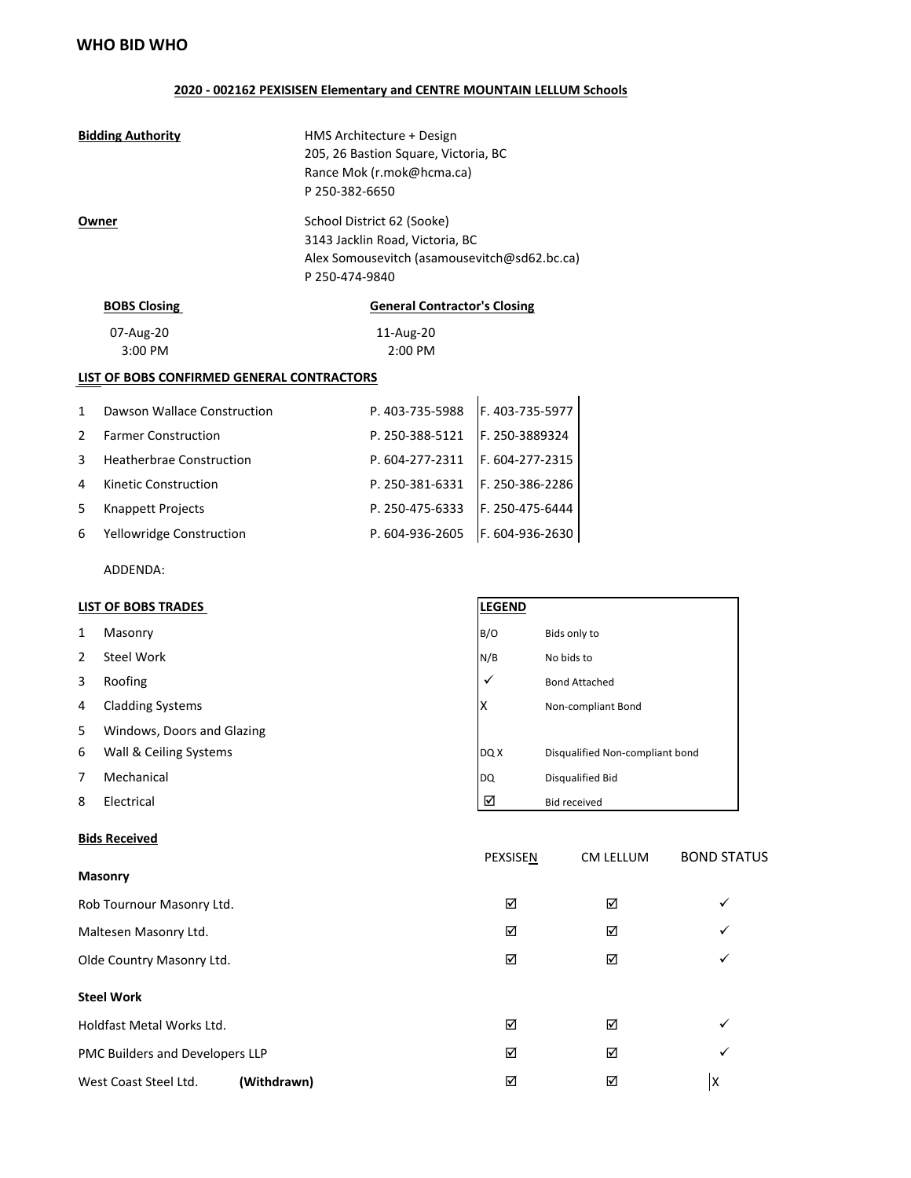### **2020 - 002162 PEXISISEN Elementary and CENTRE MOUNTAIN LELLUM Schools**

| <b>Bidding Authority</b><br>Owner          |                                 | HMS Architecture + Design<br>205, 26 Bastion Square, Victoria, BC<br>Rance Mok (r.mok@hcma.ca)<br>P 250-382-6650                |                 |  |  |  |  |
|--------------------------------------------|---------------------------------|---------------------------------------------------------------------------------------------------------------------------------|-----------------|--|--|--|--|
|                                            |                                 | School District 62 (Sooke)<br>3143 Jacklin Road, Victoria, BC<br>Alex Somousevitch (asamousevitch@sd62.bc.ca)<br>P 250-474-9840 |                 |  |  |  |  |
|                                            | <b>BOBS Closing</b>             | <b>General Contractor's Closing</b>                                                                                             |                 |  |  |  |  |
|                                            | 07-Aug-20<br>3:00 PM            | 11-Aug-20<br>2:00 PM                                                                                                            |                 |  |  |  |  |
| LIST OF BOBS CONFIRMED GENERAL CONTRACTORS |                                 |                                                                                                                                 |                 |  |  |  |  |
| 1                                          | Dawson Wallace Construction     | P. 403-735-5988                                                                                                                 | F. 403-735-5977 |  |  |  |  |
| 2                                          | <b>Farmer Construction</b>      | P. 250-388-5121                                                                                                                 | F. 250-3889324  |  |  |  |  |
| 3                                          | <b>Heatherbrae Construction</b> | P. 604-277-2311                                                                                                                 | F. 604-277-2315 |  |  |  |  |
| 4                                          | Kinetic Construction            | P. 250-381-6331                                                                                                                 | F. 250-386-2286 |  |  |  |  |
| 5                                          | Knappett Projects               | P. 250-475-6333                                                                                                                 | F. 250-475-6444 |  |  |  |  |
| 6                                          | Yellowridge Construction        | P. 604-936-2605                                                                                                                 | F. 604-936-2630 |  |  |  |  |
|                                            | ADDENDA:                        |                                                                                                                                 |                 |  |  |  |  |

# **LIST OF BOBS TRADES**

| 1  | Masonry                    | B/O          | Bids only to                    |
|----|----------------------------|--------------|---------------------------------|
| 2  | Steel Work                 | N/B          | No bids to                      |
| 3  | Roofing                    | $\checkmark$ | <b>Bond Attached</b>            |
| 4  | <b>Cladding Systems</b>    | ΙX           | Non-compliant Bond              |
| 5. | Windows, Doors and Glazing |              |                                 |
| 6  | Wall & Ceiling Systems     | DQ X         | Disqualified Non-compliant bond |
| 7  | Mechanical                 | DQ           | Disqualified Bid                |
| 8  | Electrical                 | ☑            | <b>Bid received</b>             |

#### **Bids Received**

#### **Masonry**

| <b>IVIASUIII</b> Y                   |   |   |              |
|--------------------------------------|---|---|--------------|
| Rob Tournour Masonry Ltd.            | ☑ | ☑ | ✓            |
| Maltesen Masonry Ltd.                | ☑ | ☑ | $\checkmark$ |
| Olde Country Masonry Ltd.            | ☑ | ☑ | ✓            |
| <b>Steel Work</b>                    |   |   |              |
| Holdfast Metal Works Ltd.            | ☑ | ☑ | ✓            |
| PMC Builders and Developers LLP      | ☑ | ☑ | ✓            |
| (Withdrawn)<br>West Coast Steel Ltd. | ☑ | ☑ | lχ           |
|                                      |   |   |              |

PEXSISEN CM LELLUM BOND STATUS